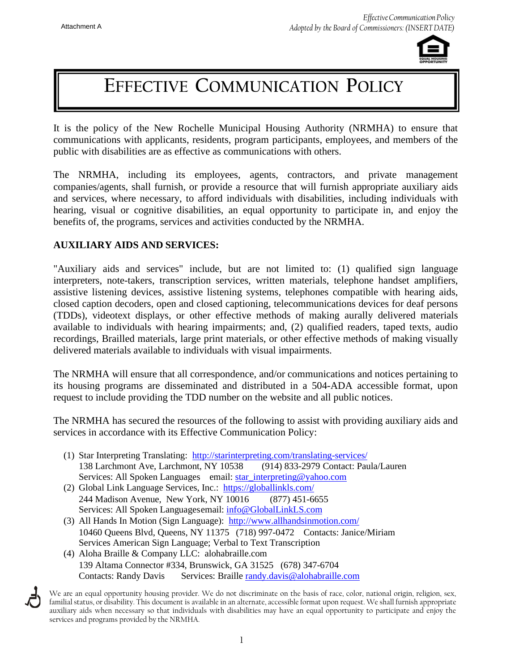

# **EFFECTIVE COMMUNICATION POLICY**

It is the policy of the New Rochelle Municipal Housing Authority (NRMHA) to ensure that communications with applicants, residents, program participants, employees, and members of the public with disabilities are as effective as communications with others.

The NRMHA, including its employees, agents, contractors, and private management companies/agents, shall furnish, or provide a resource that will furnish appropriate auxiliary aids and services, where necessary, to afford individuals with disabilities, including individuals with hearing, visual or cognitive disabilities, an equal opportunity to participate in, and enjoy the benefits of, the programs, services and activities conducted by the NRMHA.

### **AUXILIARY AIDS AND SERVICES:**

"Auxiliary aids and services" include, but are not limited to: (1) qualified sign language interpreters, note-takers, transcription services, written materials, telephone handset amplifiers, assistive listening devices, assistive listening systems, telephones compatible with hearing aids, closed caption decoders, open and closed captioning, telecommunications devices for deaf persons (TDDs), videotext displays, or other effective methods of making aurally delivered materials available to individuals with hearing impairments; and, (2) qualified readers, taped texts, audio recordings, Brailled materials, large print materials, or other effective methods of making visually delivered materials available to individuals with visual impairments.

The NRMHA will ensure that all correspondence, and/or communications and notices pertaining to its housing programs are disseminated and distributed in a 504-ADA accessible format, upon request to include providing the TDD number on the website and all public notices.

The NRMHA has secured the resources of the following to assist with providing auxiliary aids and services in accordance with its Effective Communication Policy:

- (1) Star Interpreting Translating: <http://starinterpreting.com/translating-services/> 138 Larchmont Ave, Larchmont, NY 10538 (914) 833-2979 Contact: Paula/Lauren Services: All Spoken Languages email: star interpreting@yahoo.com
- (2) Global Link Language Services, Inc.: <https://globallinkls.com/> 244 Madison Avenue, New York, NY 10016 (877) 451-6655 Services: All Spoken Languages email: [info@GlobalLinkLS.com](mailto:info@GlobalLinkLS.com)
- (3) All Hands In Motion (Sign Language): <http://www.allhandsinmotion.com/> 10460 Queens Blvd, Queens, NY 11375 (718) 997-0472 Contacts: Janice/Miriam Services American Sign Language; Verbal to Text Transcription
- (4) Aloha Braille & Company LLC: alohabraille.com 139 Altama Connector #334, Brunswick, GA 31525 (678) 347-6704 Contacts: Randy Davis Services: Braille [randy.davis@alohabraille.com](mailto:randy.davis@alohabraille.com)

We are an equal opportunity housing provider. We do not discriminate on the basis of race, color, national origin, religion, sex, familial status, or disability. This document is available in an alternate, accessible format upon request. We shall furnish appropriate auxiliary aids when necessary so that individuals with disabilities may have an equal opportunity to participate and enjoy the services and programs provided by the NRMHA.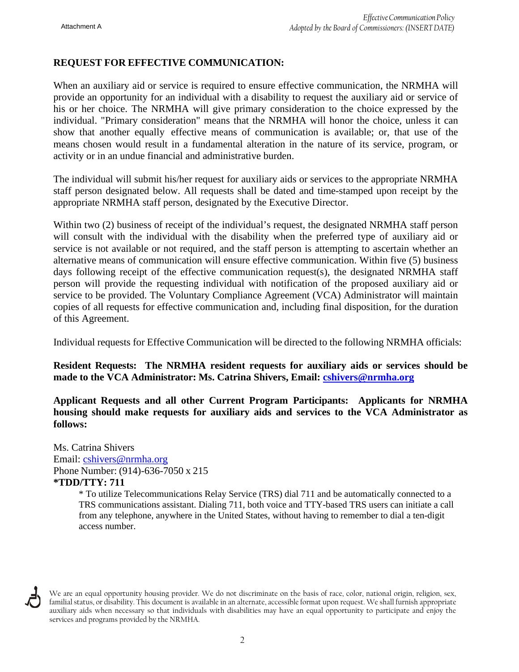### **REQUEST FOR EFFECTIVE COMMUNICATION:**

When an auxiliary aid or service is required to ensure effective communication, the NRMHA will provide an opportunity for an individual with a disability to request the auxiliary aid or service of his or her choice. The NRMHA will give primary consideration to the choice expressed by the individual. "Primary consideration" means that the NRMHA will honor the choice, unless it can show that another equally effective means of communication is available; or, that use of the means chosen would result in a fundamental alteration in the nature of its service, program, or activity or in an undue financial and administrative burden.

The individual will submit his/her request for auxiliary aids or services to the appropriate NRMHA staff person designated below. All requests shall be dated and time-stamped upon receipt by the appropriate NRMHA staff person, designated by the Executive Director.

Within two (2) business of receipt of the individual's request, the designated NRMHA staff person will consult with the individual with the disability when the preferred type of auxiliary aid or service is not available or not required, and the staff person is attempting to ascertain whether an alternative means of communication will ensure effective communication. Within five (5) business days following receipt of the effective communication request(s), the designated NRMHA staff person will provide the requesting individual with notification of the proposed auxiliary aid or service to be provided. The Voluntary Compliance Agreement (VCA) Administrator will maintain copies of all requests for effective communication and, including final disposition, for the duration of this Agreement.

Individual requests for Effective Communication will be directed to the following NRMHA officials:

**Resident Requests: The NRMHA resident requests for auxiliary aids or services should be made to the VCA Administrator: Ms. Catrina Shivers, Email: [cshivers@nrmha.org](mailto:cshivers@nrmha.org)**

**Applicant Requests and all other Current Program Participants: Applicants for NRMHA housing should make requests for auxiliary aids and services to the VCA Administrator as follows:** 

Ms. Catrina Shivers Email: [cshivers@nrmha.org](mailto:cshivers@nrmha.org) Phone Number: (914)-636-7050 x 215 **\*TDD/TTY: 711**

> \* To utilize Telecommunications Relay Service (TRS) dial 711 and be automatically connected to a TRS communications assistant. Dialing 711, both voice and TTY-based TRS users can initiate a call from any telephone, anywhere in the United States, without having to remember to dial a ten-digit access number.



We are an equal opportunity housing provider. We do not discriminate on the basis of race, color, national origin, religion, sex, familial status, or disability. This document is available in an alternate, accessible format upon request. We shall furnish appropriate auxiliary aids when necessary so that individuals with disabilities may have an equal opportunity to participate and enjoy the services and programs provided by the NRMHA.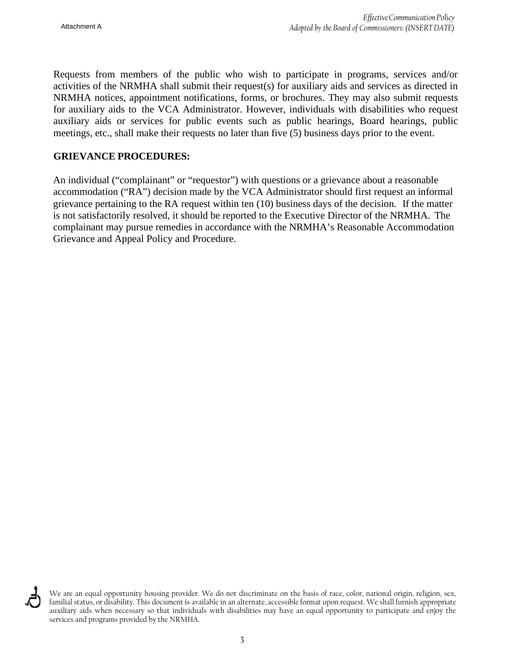Requests from members of the public who wish to participate in programs, services and/or activities of the NRMHA shall submit their request(s) for auxiliary aids and services as directed in NRMHA notices, appointment notifications, forms, or brochures. They may also submit requests for auxiliary aids to the VCA Administrator. However, individuals with disabilities who request auxiliary aids or services for public events such as public hearings, Board hearings, public meetings, etc., shall make their requests no later than five (5) business days prior to the event.

### **GRIEVANCE PROCEDURES:**

An individual ("complainant" or "requestor") with questions or a grievance about a reasonable accommodation ("RA") decision made by the VCA Administrator should first request an informal grievance pertaining to the RA request within ten (10) business days of the decision. If the matter is not satisfactorily resolved, it should be reported to the Executive Director of the NRMHA. The complainant may pursue remedies in accordance with the NRMHA's Reasonable Accommodation Grievance and Appeal Policy and Procedure.



We are an equal opportunity housing provider. We do not discriminate on the basis of race, color, national origin, religion, sex, familial status, or disability. This document is available in an alternate, accessible format upon request. We shall furnish appropriate auxiliary aids when necessary so that individuals with disabilities may have an equal opportunity to participate and enjoy the services and programs provided by the NRMHA.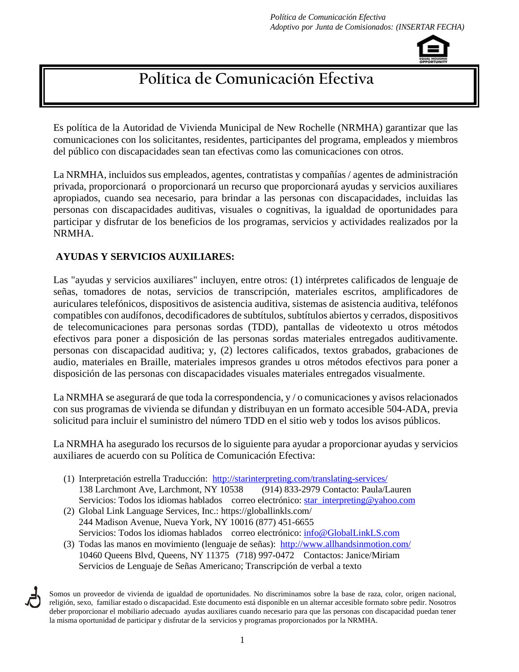## **Política de Comunicación Efectiva**

Es política de la Autoridad de Vivienda Municipal de New Rochelle (NRMHA) garantizar que las comunicaciones con los solicitantes, residentes, participantes del programa, empleados y miembros del público con discapacidades sean tan efectivas como las comunicaciones con otros.

La NRMHA, incluidos sus empleados, agentes, contratistas y compañías / agentes de administración privada, proporcionará o proporcionará un recurso que proporcionará ayudas y servicios auxiliares apropiados, cuando sea necesario, para brindar a las personas con discapacidades, incluidas las personas con discapacidades auditivas, visuales o cognitivas, la igualdad de oportunidades para participar y disfrutar de los beneficios de los programas, servicios y actividades realizados por la NRMHA.

### **AYUDAS Y SERVICIOS AUXILIARES:**

Las "ayudas y servicios auxiliares" incluyen, entre otros: (1) intérpretes calificados de lenguaje de señas, tomadores de notas, servicios de transcripción, materiales escritos, amplificadores de auriculares telefónicos, dispositivos de asistencia auditiva, sistemas de asistencia auditiva, teléfonos compatibles con audífonos, decodificadores de subtítulos, subtítulos abiertos y cerrados, dispositivos de telecomunicaciones para personas sordas (TDD), pantallas de videotexto u otros métodos efectivos para poner a disposición de las personas sordas materiales entregados auditivamente. personas con discapacidad auditiva; y, (2) lectores calificados, textos grabados, grabaciones de audio, materiales en Braille, materiales impresos grandes u otros métodos efectivos para poner a disposición de las personas con discapacidades visuales materiales entregados visualmente.

La NRMHA se asegurará de que toda la correspondencia, y / o comunicaciones y avisos relacionados con sus programas de vivienda se difundan y distribuyan en un formato accesible 504-ADA, previa solicitud para incluir el suministro del número TDD en el sitio web y todos los avisos públicos.

La NRMHA ha asegurado los recursos de lo siguiente para ayudar a proporcionar ayudas y servicios auxiliares de acuerdo con su Política de Comunicación Efectiva:

- (1) Interpretación estrella Traducción:<http://starinterpreting.com/translating-services/> 138 Larchmont Ave, Larchmont, NY 10538 (914) 833-2979 Contacto: Paula/Lauren Servicios: Todos los idiomas hablados correo electrónico: [star\\_interpreting@yahoo.com](mailto:star_interpreting@yahoo.com)
- (2) Global Link Language Services, Inc.: https://globallinkls.com/ 244 Madison Avenue, Nueva York, NY 10016 (877) 451-6655 Servicios: Todos los idiomas hablados correo electrónico: [info@GlobalLinkLS.com](mailto:info@GlobalLinkLS.com)
- (3) Todas las manos en movimiento (lenguaje de señas): <http://www.allhandsinmotion.com/> 10460 Queens Blvd, Queens, NY 11375 (718) 997-0472 Contactos: Janice/Miriam Servicios de Lenguaje de Señas Americano; Transcripción de verbal a texto

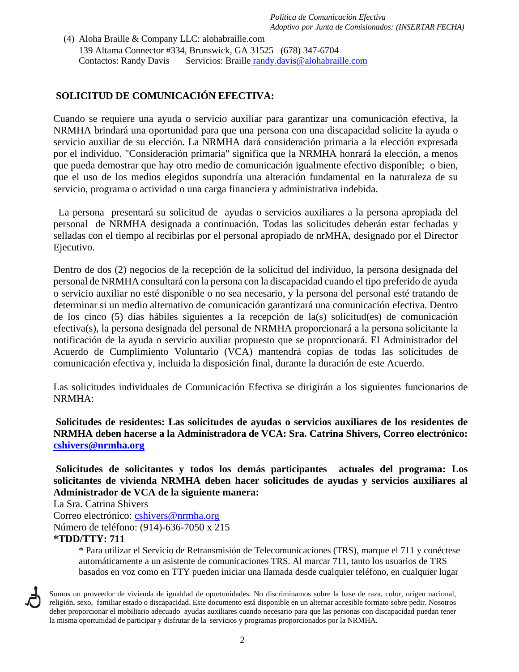(4) Aloha Braille & Company LLC: alohabraille.com 139 Altama Connector #334, Brunswick, GA 31525 (678) 347-6704 Contactos: Randy Davis Servicios: Braill[e randy.davis@alohabraille.com](mailto:randy.davis@alohabraille.com)

### **SOLICITUD DE COMUNICACIÓN EFECTIVA:**

Cuando se requiere una ayuda o servicio auxiliar para garantizar una comunicación efectiva, la NRMHA brindará una oportunidad para que una persona con una discapacidad solicite la ayuda o servicio auxiliar de su elección. La NRMHA dará consideración primaria a la elección expresada por el individuo. "Consideración primaria" significa que la NRMHA honrará la elección, a menos que pueda demostrar que hay otro medio de comunicación igualmente efectivo disponible; o bien, que el uso de los medios elegidos supondría una alteración fundamental en la naturaleza de su servicio, programa o actividad o una carga financiera y administrativa indebida.

 La persona presentará su solicitud de ayudas o servicios auxiliares a la persona apropiada del personal de NRMHA designada a continuación. Todas las solicitudes deberán estar fechadas y selladas con el tiempo al recibirlas por el personal apropiado de nrMHA, designado por el Director Ejecutivo.

Dentro de dos (2) negocios de la recepción de la solicitud del individuo, la persona designada del personal de NRMHA consultará con la persona con la discapacidad cuando el tipo preferido de ayuda o servicio auxiliar no esté disponible o no sea necesario, y la persona del personal esté tratando de determinar si un medio alternativo de comunicación garantizará una comunicación efectiva. Dentro de los cinco (5) días hábiles siguientes a la recepción de la(s) solicitud(es) de comunicación efectiva(s), la persona designada del personal de NRMHA proporcionará a la persona solicitante la notificación de la ayuda o servicio auxiliar propuesto que se proporcionará. El Administrador del Acuerdo de Cumplimiento Voluntario (VCA) mantendrá copias de todas las solicitudes de comunicación efectiva y, incluida la disposición final, durante la duración de este Acuerdo.

Las solicitudes individuales de Comunicación Efectiva se dirigirán a los siguientes funcionarios de NRMHA:

**Solicitudes de residentes: Las solicitudes de ayudas o servicios auxiliares de los residentes de NRMHA deben hacerse a la Administradora de VCA: Sra. Catrina Shivers, Correo electrónico: [cshivers@nrmha.org](mailto:cshivers@nrmha.org)**

**Solicitudes de solicitantes y todos los demás participantes actuales del programa: Los solicitantes de vivienda NRMHA deben hacer solicitudes de ayudas y servicios auxiliares al Administrador de VCA de la siguiente manera:** 

La Sra. Catrina Shivers

Correo electrónico: [cshivers@nrmha.org](mailto:cshivers@nrmha.org)

Número de teléfono: (914)-636-7050 x 215

#### **\*TDD/TTY: 711**

\* Para utilizar el Servicio de Retransmisión de Telecomunicaciones (TRS), marque el 711 y conéctese automáticamente a un asistente de comunicaciones TRS. Al marcar 711, tanto los usuarios de TRS basados en voz como en TTY pueden iniciar una llamada desde cualquier teléfono, en cualquier lugar

Somos un proveedor de vivienda de igualdad de oportunidades. No discriminamos sobre la base de raza, color, origen nacional, religión, sexo, familiar estado o discapacidad. Este documento está disponible en un alternar accesible formato sobre pedir. Nosotros deber proporcionar el mobiliario adecuado ayudas auxiliares cuando necesario para que las personas con discapacidad puedan tener la misma oportunidad de participar y disfrutar de la servicios y programas proporcionados por la NRMHA.